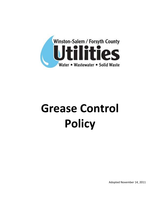

# **Grease Control Policy**

Adopted November 14, 2011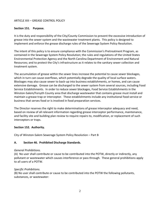# ARTICLE XIII – GREASE CONTROL POLICY

#### **Section 151. Purpose.**

It is the duty and responsibility of the City/County Commission to prevent the excessive introduction of grease into the sewer system and the wastewater treatment plants. This policy is designed to implement and enforce the grease discharge rules of the Sewerage System Policy Resolution.

The intent of this policy is to ensure compliance with the Commission's Pretreatment Program, as contained in the Sewerage System Policy Resolution; the rules and regulations of the United States Environmental Protection Agency and the North Carolina Department of Environment and Natural Resources; and to protect the City's infrastructure as it relates to the sanitary sewer collection and treatment system.

The accumulation of grease within the sewer lines increase the potential to cause sewer blockages, which in turn can cause overflows, which potentially degrade the quality of local surface waters. Blockages may also cause sewer to back-up into business establishments, or homes, and can cause extensive damage. Grease can be discharged to the sewer system from several sources, including Food Service Establishments. In order to reduce sewer blockages, Food Service Establishments in the Winston-Salem/Forsyth County area that discharge wastewater that contains grease must install and maintain a grease trap or interceptor. These establishments include any institutional food service or business that serves food or is involved in food preparation services.

The Director reserves the right to make determinations of grease interceptor adequacy and need, based on review of all relevant information regarding grease interceptor performance, maintenance, and facility site and building plan review to require repairs to, modification, or replacement of such interceptors or traps.

#### **Section 152. Authority.**

City of Winston-Salem Sewerage System Policy Resolution – Part B

# **A. Section 46. Prohibited Discharge Standards.**

#### *General Prohibitions.*

(A)No user shall contribute or cause to be contributed into the POTW, directly or indirectly, any pollutant or wastewater which causes interference or pass through. These general prohibitions apply to all users of a POTW.

#### *Specific Prohibitions.*

(B) No user shall contribute or cause to be contributed into the POTW the following pollutants, substances, or wastewater: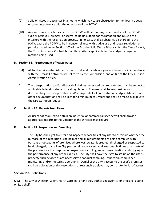- (2) Solid or viscous substances in amounts which may cause obstruction to the flow in a sewer or other interference with the operation of the POTW.
- (10) Any substance which may cause the POTW's effluent or any other product of the POTW such as residuals, sludges, or scums, to be unsuitable for reclamation and reuse or to interfere with the reclamation process. In no case, shall a substance discharged to the POTW cause the POTW to be in noncompliance with sludge use or disposal regulation or permits issued under Section 405 of the Act; the Solid Waste Disposal Act, the Clean Air Act, the Toxic Substance Control Act, or State criteria applicable to the sludge management method being used.

### **B. Section 51. Pretreatment of Wastewater**

- B(4) All food service establishments shall install and maintain a grease interceptor in accordance with the Grease Control Policy, set forth by the Commission, and on file at the City's Utilities Administration office.
- C. The transportation and/or disposal of sludges generated by pretreatment shall be subject to applicable federal, state, and local regulations. The user shall be responsible for documenting the transportation and/or disposal of all pretreatment sludges. Manifest and other documentation shall be kept for a minimum of 3 years and shall be made available to the Director upon request.

# **C. Section 92. Reports from Users.**

All users not required to obtain an industrial or commercial user permit shall provide appropriate reports to the Director as the Director may require.

#### **D. Section 98. Inspection and Sampling.**

The City has the right to enter and inspect the facilities of any user to ascertain whether the purpose of this resolution is being met and all requirements are being complied with. Persons or occupants of premises where wastewater is created, discharged or suspected to be discharged, shall allow City personnel ready access at all reasonable times to all parts of the premises for the purposes of inspection, sampling, records examination and copying or the performance of any of their duties. The City shall have the right to set up on the user's property such devices as are necessary to conduct sampling, inspection, compliance monitoring and/or metering operations. Denial of the City's access to the user's premises shall be a violation of this resolution. Unreasonable delays may constitute denial of access.

#### **Section 153. Definitions.**

**City**: The City of Winston-Salem, North Carolina, or any duly authorized agent(s) or official(s) acting on its behalf.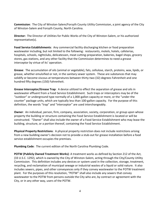**Commission**: The City of Winston-Salem/Forsyth County Utility Commission, a joint agency of the City of Winston-Salem and Forsyth County, North Carolina.

**Director:** The Director of Utilities for Public Works of the City of Winston-Salem, or his authorized representative(s).

**Food Service Establishments**: Any commercial facility discharging kitchen or food preparation wastewater including, but not limited to the following: restaurants, motels, hotels, cafeterias, hospitals, schools, nightclubs, delicatessen, meat cutting-preparation, bakeries, bagel shops, grocery stores, gas stations, and any other facility that the Commission determines to need a grease interceptor by virtue of its' operation.

**Grease**: The accumulation of oils (animal or vegetable), fats, cellulose, starch, proteins, wax, lipids, or grease, whether emulsified or not, in the sanitary sewer system. These are substances that may solidify or become viscous at temperatures between thirty-two (32) degrees Fahrenheit and one hundred fifty degrees (150) Fahrenheit.

**Grease Interceptor/Grease Trap**: A device utilized to effect the separation of grease and oils in wastewater effluent from a Food Service Establishment. Such traps or interceptors may be of the "outdoor" or underground type normally of a 1,000-gallon capacity or more, or the "under-the counter" package units, which are typically less than 100-gallon capacity. For the purpose of this definition, the words "trap" and "interceptor" are used interchangeably.

**Owner**: An individual, person, firm, company, association, society, corporation, or group upon whose property the building or structure containing the Food Service Establishment is located or will be constructed. "Owner" shall also include the owner of a Food Service Establishment who may lease the building, structure, or a portion thereof, containing the Food Service Establishment.

**Physical Property Restrictions**: A physical property restriction does not include restrictions arising from a new building owner's decision not to provide a stub-out for grease installation before a food service establishment occupies the premises.

**Plumbing Code**: The current edition of the North Carolina Plumbing Code.

**POTW (Publicly Owned Treatment Works)**: A treatment works as defined by Section 212 of the Act, (33 U.S.C. 1292), which is owned by the City of Winston-Salem, acting through the City/County Utility Commission. This definition includes any devices or system used in the collection, storage, treatment, recycling, and reclamation of municipal sewage or industrial wastes of a liquid or solid nature. It also includes sewers, pipes, and other conveyances only if they convey wastewater to the POTW treatment plant. For the purposes of this resolution, "POTW" shall also include any sewers that convey wastewater to the POTW from persons outside the City who are, by contract or agreement with the City, or in any other way, users of the POTW.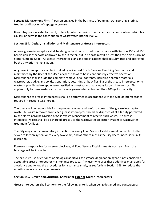**Septage Management Firm**: A person engaged in the business of pumping, transporting, storing, treating or disposing of septage or grease.

**User**: Any person, establishment, or facility, whether inside or outside the city limits, who contributes, causes, or permits the contribution of wastewater into the POTW.

# **Section 154. Design, Installation and Maintenance of Grease Interceptors.**

All new grease interceptors shall be designed and constructed in accordance with Section 155 and 156 herein unless otherwise approved by the Director, but in no case may it be less than the North Carolina State Plumbing Code. All grease interceptor plans and specifications shall be submitted and approved by the City prior to installation.

All grease interceptors shall be installed by a licensed North Carolina Plumbing Contractor and maintained by the User at the User's expense so as to be in continuously effective operation. Maintenance shall include the complete removal of all contents, including floatable materials, wastewater, sludge, and solids. Separation, decanting or back flushing of the grease interceptor or its wastes is prohibited except where classified as a restaurant that cleans its own interceptor. This applies only to those restaurants that have a grease interceptor less than 100-gallon capacity.

Maintenance of grease interceptors shall be performed in accordance with the type of interceptor as required in Sections 158 herein.

The User shall be responsible for the proper removal and lawful disposal of the grease interceptor waste. All waste removed from each grease interceptor should be disposed of at a facility permitted by the North Carolina Division of Solid Waste Management to receive such waste. No grease interceptor waste shall be discharged directly to the wastewater collection system or wastewater treatment facilities.

The City may conduct mandatory inspections of every Food Service Establishment connected to the sewer collection system once every two years, and at other times as the City deems necessary, in its discretion.

If grease is responsible for a sewer blockage, all Food Service Establishments upstream from the blockage will be inspected.

The exclusive use of enzymes or biological additives as a grease degradation agent is not considered acceptable grease interceptor maintenance practice. Any user who uses these additives must apply for a variance and follow the procedures for a variance study, as set forth in Section 163, to reduce the monthly maintenance requirements.

# **Section 155. Design and Structural Criteria for Exterior Grease Interceptors.**

Grease Interceptors shall conform to the following criteria when being designed and constructed: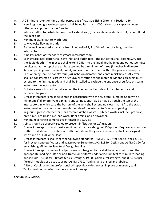- A. A 24 minute retention time under *actual peak flow*. See Sizing Criteria in Section 156.
- B. New in-ground grease interceptors shall be no less than 1,000 gallons total capacity unless otherwise approved by the Director.
- C. Interior baffles to distribute flows. Will extend six (6) inches above water line but, cannot flood the inlet pipe.
- D. Minimum 2:1 length to width ratio.
- E. Low velocity flow near outlet.
- F. Baffle wall be located a distance from inlet wall of 2/3 to 3/4 of the total length of the interceptor
- G. Nine (9) inches of freeboard at grease interceptor top.
- H. Each grease interceptor shall have inlet and outlet tees. The outlet tee shall extend 50% into the liquid depth. The inlet tee shall extend 25% into the liquid depth. Inlet and outlet tee must be plugged at the top of the sanitary tee and be a minimum of three (3) inches in diameter.
- I. Access openings over the inlet, outlet, and each compartment within the grease interceptor. Each opening shall be twenty-four (24) inches in diameter and contain pick holes. All covers shall be constructed of cast iron or equivalent traffic bearing material. Manholes/covers must extend to the finished grade and shall be installed to exclude the entrance of surface or storm water into the interceptor.
- J. Full size cleanouts shall be installed on the inlet and outlet sides of the interceptor and extended to grade.
- K. Grease interceptors must be vented in accordance with the NC State Plumbing Code with a minimum 2" diameter vent piping. Vent connections may be made through the top of the interceptor, in which case the bottom of the vent shall extend no closer than 6" to the static water level, or may be made through the side of the interceptor's access opening.
- L. In-ground grease interceptors shall receive kitchen wastes. Kitchen wastes include: pot sinks, prep sinks, pre-rinse sinks, can wash, floor drains, and dishwasher.
- M. Minimum concrete compressive strength of 3,500 psi.
- N. Joints should be properly sealed to prevent infiltration or exfiltration.
- O. Grease interceptors must meet a minimum structural design of 150-pounds/square foot for non traffic installations. For vehicular traffic conditions the grease interceptor shall be designed to withstand an H-20 wheel load.
- P. Grease interceptors shall meet the following standards: ASTM C-1227 for Septic Tanks, C-913 for Precast Concrete Water and Wastewater Structures, ACI-318 for Design and ASTM C-890 for establishing Minimum Structural Design Loading.
- Q. Grease interceptors made of polyethylene or fiberglass tanks shall be able to withstand the appropriate loading (traffic or non-traffic) or perform under a vacuum test to stimulate loading and include 12,000 psi ultimate tensile strength, 19,000 psi flexural strength, and 800,000 psi flexural modulus of elasticity as per ASTM D790. Tanks shall be listed and labeled.
- R. A North Carolina design professional will specifically design cast in place or masonry tanks. Tanks must be manufactured as a grease interceptor.

# **Section 156. Sizing.**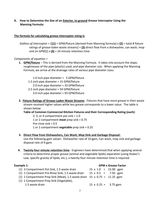# **A. How to Determine the Size of an Exterior, In-ground Grease Interceptor Using the Manning Formula:**

# **The formula for calculating grease interceptor sizing is**:

*Gallons of interceptor* = [[**(1)** = GPM/fixture (derived from Manning formula) x **(2)** = total # fixture ratings of grease-laden waste streams] + **(3)** direct flow from a dishwasher, can wash, mop sink (in GPM)]]  $\times$   $(4)$  = 24 minute retention time

### *Components of equation* =

- **1. GPM/fixture** This is derived from the Manning Formula. It takes into account the slope; roughnesses of the pipe (plastic) used, and pipe diameter size. When applying the Manning Formula, we arrive at the drainage rates of various pipe diameter sizes:
	- 1.0 inch pipe diameter = 5 GPM/fixture
	- 1.5 inch pipe diameter = 15 GPM/fixture
	- 2.0 inch pipe diameter = 33 GPM/fixture 2.5 inch pipe diameter = 59 GPM/fixture 3.0 inch pipe diameter = 93 GPM/fixture
- **2. Fixture Ratings of Grease-Laden Waste Streams**: Fixtures that have more grease in their waste stream received higher values while less grease corresponds to a lower value. The table is shown below:

**Table of Common Commercial Kitchen Fixtures and their Corresponding Rating (each):**

2, 3, or 4 compartment pot sink  $= 1.0$ 1 or 2 compartment **meat** prep sink = 0.75 Pre-rinse sink = 0.5 1 or 2 compartment **vegetable** prep sink = 0.25

**3. Direct Flow from Dishwashers, Can Wash, Mop Sink and Garbage Disposal:**

Use the following gpm values: Dishwasher rate of 10 gpm, Can wash, mop sink and garbage disposal rate of 6 gpm.

**4. Twenty-four minute retention time**: Engineers have determined that when applying several criteria to determine proper grease (animal and vegetable lipids) separation (using Stokes's Law, specific gravity of lipids, etc.), a twenty-four minute retention time is required.

| <b>GPM x Grease Factor</b>                                                       |
|----------------------------------------------------------------------------------|
| $15 \times 1.0 = 15.00$ gpm                                                      |
| $15 \times 0.5 = 7.50$ gpm                                                       |
| (1) 1 Compartment Prep Sink (Meat), 1.5 waste drain $15 \times 0.75 = 11.25$ gpm |
|                                                                                  |
| $15 \times 0.25 = 3.75$ gpm                                                      |
|                                                                                  |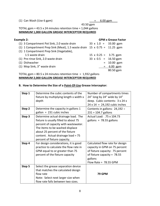(1) Can Wash (Use 6 gpm)  $= 6.00$  gpm

 43.50 gpm TOTAL gpm = 43.5 x 24 minutes retention time = 1,044 gallons **MINIMUM 1,000 GALLON GREASE INTERCEPTOR REQUIRED**

| <b>Example 2:</b>                                                         |                             | <b>GPM x Grease Factor</b> |
|---------------------------------------------------------------------------|-----------------------------|----------------------------|
| (1) 3 Compartment Pot Sink, 2.0 waste drain                               | $33 \times 1.0 = 33.00$ gpm |                            |
| (1) 1 Compartment Prep Sink (Meat), 1.5 waste drain 15 x 0.75 = 11.25 gpm |                             |                            |
| (1) 1 Compartment Prep Sink (Vegetable),                                  |                             |                            |
| 1.5 waste drain                                                           | $15 \times 0.25 = 3.75$ gpm |                            |
| (1) Pre-rinse Sink, 2.0 waste drain                                       | $33 \times 0.5 = 16.50$ gpm |                            |
| (1) Dishwasher                                                            |                             | $= 10.00$ gpm              |
| (1) Mop Sink, 3" waste drain                                              |                             | $= 6.00$ gpm               |
|                                                                           |                             | 80.50 gpm                  |

TOTAL gpm =  $80.5$  x 24 minutes retention time = 1,932 gallons **MINIMUM 2,000 GALLON GREASE INTERCEPTOR REQUIRED**

# **B. How to Determine the Size of a Point-Of-Use Grease Interceptor:**

| Step 1 | Determine the cubic contents of the        | Number of compartments times         |
|--------|--------------------------------------------|--------------------------------------|
|        | fixture by multiplying length x width x    | 24" long by 24" wide by 14"          |
|        | depth                                      | deep. Cubic contents: 3 x 24 x       |
|        |                                            | $24 \times 14 = 24,192$ cubic inches |
| Step 2 | Determine the capacity in gallons 1        | Contents in gallons: $24,192 \div$   |
|        | $\text{gallon} = 231 \text{ cubic inches}$ | $231 = 104.7$ gallons                |
| Step 3 | Determine actual drainage load. The        | Actual Load: .75 x 104.73            |
|        | fixture is usually filled to about 75      | gallons = $78.55$ gallons            |
|        | percent of capacity with wastewater.       |                                      |
|        | The items to be washed displace            |                                      |
|        | about 25 percent of the fixture            |                                      |
|        | content. Actual drainage load = 75         |                                      |
|        | percent of fixture capacity.               |                                      |
| Step 4 | For design considerations, it is good      | Calculated flow rate for design      |
|        | practice to calculate the flow rate in     | capacity in GPM on 75 percent        |
|        | GPM equal to or greater than 75            | of fixture capacity: 75 percent      |
|        | percent of the fixture capacity            | of fixture capacity = $78.55$        |
|        |                                            | gallons                              |
|        |                                            | Flow Rate = $78.55$ GPM              |
| Step 5 | Select the grease separation device        |                                      |
|        | that matches the calculated design         |                                      |
|        | flow rate                                  | <b>79 GPM</b>                        |
|        | Note: Select next larger size when         |                                      |
|        | flow rate falls between two sizes.         |                                      |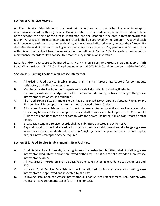# **Section 157. Service Records.**

All Food Service Establishments shall maintain a written record on site of grease interceptor maintenance record for three (3) years. Documentation must include at a minimum the date and time of the service; the name of the grease contractor; and the location of the grease treatment/disposal facility. All grease interceptor maintenance records shall be approved by the Director. A copy of each maintenance record shall be mailed to the City, at the address indicated below, no later than fifteen (15) days after the end of the month during which the maintenance occurred. Any person who fails to comply with this section is subject to enforcement actions as outlined in Section 165. Failure to submit monthly maintenance records for two consecutive months may result in an inspection.

Records and/or reports are to be mailed to: City of Winston-Salem, IWC Grease Program, 2799 Griffith Road, Winston-Salem, NC 27103. The phone number is 336-765-0130 and fax number is 336-659-4320.

### **Section 158. Existing Facilities with Grease Interceptors.**

- A. All existing Food Service Establishments shall maintain grease interceptors for continuous, satisfactory and effective operation.
- B. Maintenance shall include the complete removal of all contents, including floatable materials, wastewater, sludge, and solids. Separation, decanting or back flushing of the grease interceptor or its wastes is prohibited.
- C. The Food Service Establishment should have a licensed North Carolina Septage Management Firm service all interceptors at intervals not to exceed thirty (30) days.
- D. All food service establishments shall inspect the grease interceptor at the time of service or prior to opening business if the interceptor is serviced after hours and shall report to the City County Utilities any conditions that do not comply with the Sewer Use Resolution and/or Grease Control Policy.
- E. Grease Maintenance Service records shall be submitted as stated in Section 157.
- F. Any additional fixtures that are added to the food service establishment and discharge a greaseladen wastestream as identified in Section 156(A) (2) shall be plumbed into the interceptor and/or a new interceptor may be required.

# **Section 159. Food Service Establishment in New Facilities.**

- A. Food Service Establishments, locating in newly constructed facilities, shall install a grease interceptor adequately sized and approved by the City. Facilities are not allowed to share grease interceptor devices.
- B. All new grease interceptors shall be designed and constructed in accordance to Section 155 and 156.
- C. No new Food Service Establishment will be allowed to initiate operations until grease interceptors are approved and inspected by the City.
- D. Following installation of a grease interceptor, all Food Service Establishments shall comply with maintenance requirements as set forth in Section 158.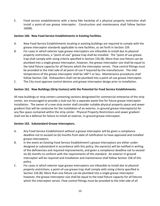E. Food service establishments with a bona fide hardship of a physical property restriction shall install a point-of-use grease interceptor. Construction and maintenance shall follow Section 160(B).

## **Section 160. New Food Service Establishments in Existing Facilities.**

- A. New Food Service Establishments locating in existing buildings are required to comply with the grease interceptor standards applicable to new facilities, as set forth in Section 159.
- B. For cases in which exterior type grease interceptors are infeasible to install *due to physical property restrictions*, a "point-of-use" grease trap shall be installed. The "point of use grease trap shall comply with sizing criteria specified in Section 156 (B). More than one fixture can be plumbed into a single grease interceptor, however, the grease interceptor size shall be equal to the total fixture capacity for all fixtures which the interceptor serves. Flow control fittings must be provided to the inlet side of all point-of-use if required by the manufacturer. The inlet temperature of the grease interceptor shall be  $140^{\circ}$  F or less. Maintenance procedures shall follow Section 158. Dishwashers shall not be plumbed into a point-of-use grease interceptor.
- C. The City must approve control devices and grease interceptor design prior to installation.

### **Section 161. New Buildings (Strip Centers) with the Potential for Food Service Establishments.**

All new buildings or strip centers containing sections designated for commercial enterprise of the strip center, are encouraged to provide a stub-out for a separate waste line for future grease interceptor installation. The owner of a new strip center shall consider suitable physical property space and sewer gradient that will be conducive for the installation of an exterior, in-ground grease interceptor(s) for any flex space contained within the strip center. Physical Property Restrictions and sewer gradient shall not be a defense for failure to install an exterior, in-ground grease interceptor.

# **Section 162. Substandard Grease Interceptors.**

- A. Any Food Service Establishment without a grease interceptor will be given a compliance deadline not to exceed six (6) months from date of notification to have approved and installed grease interceptors.
- B. In the event an Existing Food Service Establishment's grease interceptors are either underdesigned or substandard in accordance with this policy, the owner(s) will be notified in writing of the deficiencies and required improvements, and given a compliance deadline not to exceed six (6) months to conform with the requirements of this standard. An exterior in-ground interceptor will be required and installation and maintenance shall follow Section 158 of this policy.
- C. For cases in which exterior type grease interceptors are infeasible to install *due to physical property restrictions*, a point-of-use grease trap shall comply with sizing criteria specified in Section 156 (B). More than one fixture can be plumbed into a single grease interceptor however, the grease interceptor size shall be equal to the total fixture capacity for all fixtures which the interceptor serves. Flow control fittings must be provided to the inlet side of all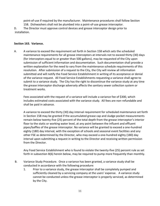point-of-use if required by the manufacturer. Maintenance procedures shall follow Section 158. Dishwashers shall not be plumbed into a point-of-use grease interceptor. D. The Director must approve control devices and grease interceptor design prior to

installation.

# **Section 163. Variance.**

A. A variance to exceed the requirement set forth in Section 158 which sets the scheduled maintenance requirements for all grease interceptors at intervals not to exceed thirty (30) days (for interceptors equal to or greater than 500 gallons), may be requested of the City upon submission of sufficient information and documentation. Such documentation shall provide a written explanation for the need to vary from the maintenance schedule requirements of this resolution. After submission of a request to the City, the City will review all information submitted and will notify the Food Service Establishment in writing of its acceptance or denial of the variance request. All Food Service Establishments requesting a variance shall agree to submit to a variance study. The City has the right to discontinue the variance study at any time the grease interceptor discharge adversely affects the sanitary sewer collection system or treatment works.

Fees associated with the request of a variance will include a variance fee of \$300, which includes estimated costs associated with the variance study. All fees are non-refundable and shall be paid in advance.

A variance to exceed the thirty (30) day interval requirement for scheduled maintenance set forth in Section 158 may be granted if the accumulated grease cap and sludge pocket measurements remain below twenty-five (25) percent of the total depth from the grease interceptor's interior floor to the static or working water level, at any point between the influent and effluent pipes/baffles of the grease interceptor. No variance will be granted to exceed a one-hundred eighty (180) day interval, with the exception of schools and seasonal event facilities and any other FSE as determined by the Director, who may exceed a one-hundred eighty (180) day interval upon submitting a request in writing to the Director and receiving written permission from the Director.

Any Food Service Establishment who is found to violate the twenty-five (25) percent rule as set forth in subsection B(6) herein below, may be required to pump more frequently than monthly.

- B.Variance Study Procedure. Once a variance has been granted, a variance study shall be conducted in accordance with the following procedure:
	- 1. Prior to a variance study, the grease interceptor shall be completely pumped and sufficiently cleaned by a servicing company at the users' expense. A variance study cannot be conducted unless the grease interceptor is properly serviced, as determined by the City.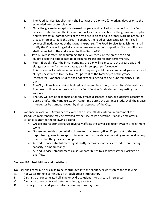- 2. The Food Service Establishment shall contact the City two (2) working days prior to the scheduled interceptor cleaning.
- 3. Once the grease interceptor is cleaned properly and refilled with water from the Food Service Establishment, the City will conduct a visual inspection of the grease interceptor and verify that all components of the trap are in place and in proper working order. If a grease interceptor fails the visual inspection, the Food Service Establishment shall correct all inadequacies at the Owner's expense. The Food Service Establishment shall notify the City in writing of all corrected measures upon completion. Such notification shall be mailed to the address set forth in Section157.
- 4. Two (2) weeks after initial pumping, the City will measure the grease cap and sludge pocket to obtain data to determine grease interceptor performance.
- 5. Four (4) weeks after the initial pumping, the City will re-measure the grease cap and sludge pocket to further evaluate grease interceptor performance.
- 6. This process will continue on a biweekly frequency until the accumulated grease cap and sludge pocket reach twenty-five (25) percent of the total depth of the grease interceptor. Variance studies shall not exceed a period of one-hundred eighty (180) days.
- 7. The City will review all data obtained, and submit in writing, the results of the variance. The result will only be furnished to the Food Service Establishment requesting the variance.
- 8. The City will not be responsible for any grease discharge, odor, or blockages associated during or after the variance study. At no time during the variance study, shall the grease interceptor be pumped, except by direct approval of the City.
- C. Variance Revocation. A variance to exceed the thirty (30) day interval requirement for scheduled maintenance may be revoked by the City, at its discretion, if at any time after a variance is granted the following occurs:
	- Grease interceptor discharge adversely affects the sewer collection system or treatment works.
	- Grease and solids accumulation is greater than twenty-five (25) percent of the total depth from grease interceptor's interior floor to the static or working water level, at any point within the grease interceptor.
	- A Food Service Establishment significantly increases food service production, seating capacity, or menu change.
	- A Food Service Establishment causes or contributes to a sanitary sewer blockage or overflow.

# **Section 164. Prohibitions and Violations.**

No User shall contribute or cause to be contributed into the sanitary sewer system the following:

- A. Hot water running continuously through grease interceptor.
- B. Discharge of concentrated alkaline or acidic solutions into a grease interceptor.
- C. Discharge of concentrated detergents into grease traps.
- D. Discharge of oils and grease into the sanitary sewer system.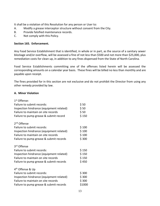It shall be a violation of this Resolution for any person or User to:

- A. Modify a grease interceptor structure without consent from the City.
- B. Provide falsified maintenance records.
- C. Not comply with this Policy.

#### **Section 165. Enforcement.**

Any Food Service Establishment that is identified, in whole or in part, as the source of a sanitary sewer blockage and/or overflow, will be assessed a fine of not less than \$500 and not more than \$25,000, plus remediation costs for clean up, in addition to any fines dispensed from the State of North Carolina.

Food Service Establishments committing one of the offenses listed herein will be assessed the corresponding amounts on a calendar year basis. These fines will be billed no less than monthly and are payable upon receipt.

The fines provided for in this section are not exclusive and do not prohibit the Director from using any other remedy provided by law.

#### **A. Minor Violation**

| 1 <sup>st</sup> Offense:                 |        |
|------------------------------------------|--------|
| Failure to submit records:               | \$50   |
| Inspection hindrance (equipment related) | \$50   |
| Failure to maintain on site records      | \$50   |
| Failure to pump grease & submit record   | \$150  |
| 2 <sup>nd</sup> Offense                  |        |
| Failure to submit records:               | \$100  |
| Inspection hindrance (equipment related) | \$100  |
| Failure to maintain on site records      | \$100  |
| Failure to pump grease & submit records  | \$300  |
| 3 <sup>rd</sup> Offense                  |        |
| Failure to submit records:               | \$150  |
| Inspection hindrance (equipment related) | \$150  |
| Failure to maintain on site records      | \$150  |
| Failure to pump grease & submit records  | \$450  |
| 4 <sup>th</sup> Offense & Up             |        |
| Failure to submit records:               | \$300  |
| Inspection hindrance (equipment related) | \$300  |
| Failure to maintain on site records      | \$300  |
| Failure to pump grease & submit records  | \$1000 |